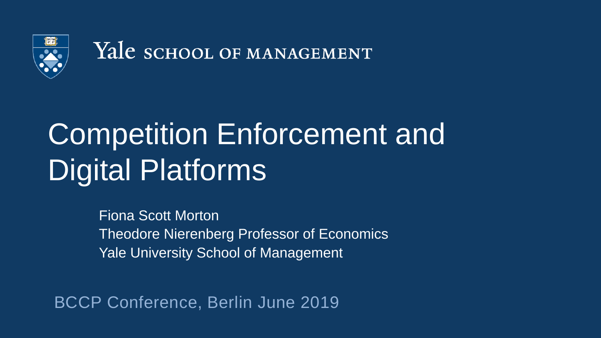

Yale school of MANAGEMENT

# Competition Enforcement and Digital Platforms

Fiona Scott Morton Theodore Nierenberg Professor of Economics Yale University School of Management

BCCP Conference, Berlin June 2019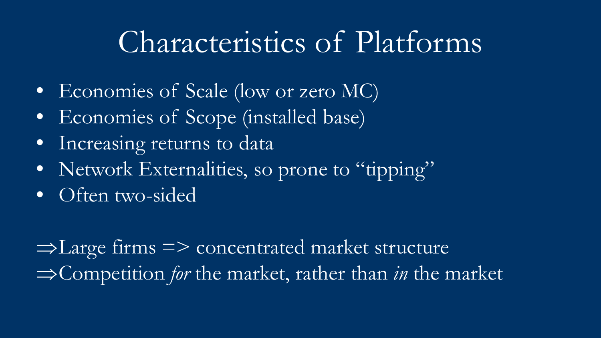#### Characteristics of Platforms

- Economies of Scale (low or zero MC)
- Economies of Scope (installed base)
- Increasing returns to data
- Network Externalities, so prone to "tipping"
- Often two-sided

⇒Large firms => concentrated market structure ⇒Competition *for* the market, rather than *in* the market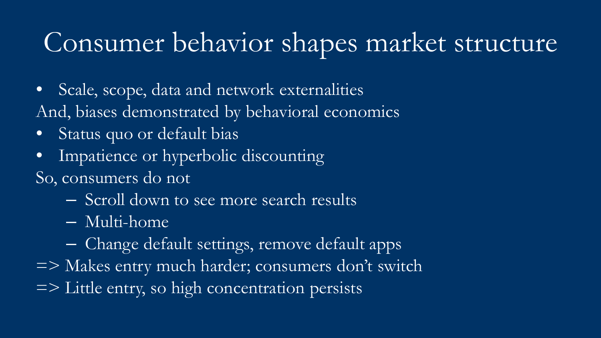#### Consumer behavior shapes market structure

- Scale, scope, data and network externalities And, biases demonstrated by behavioral economics
- Status quo or default bias
- Impatience or hyperbolic discounting So, consumers do not
	- Scroll down to see more search results
	- Multi-home
	- Change default settings, remove default apps
- => Makes entry much harder; consumers don't switch
- => Little entry, so high concentration persists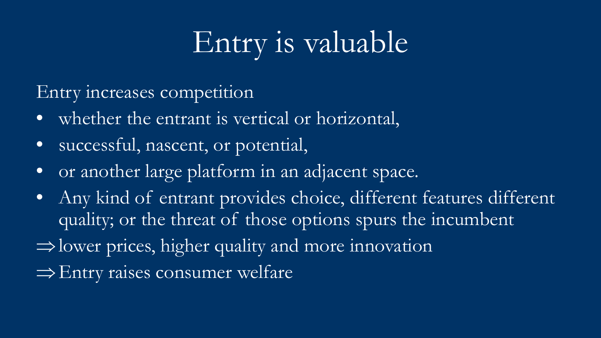# Entry is valuable

Entry increases competition

- whether the entrant is vertical or horizontal,
- successful, nascent, or potential,
- or another large platform in an adjacent space.
- Any kind of entrant provides choice, different features different quality; or the threat of those options spurs the incumbent
- ⇒lower prices, higher quality and more innovation
- ⇒Entry raises consumer welfare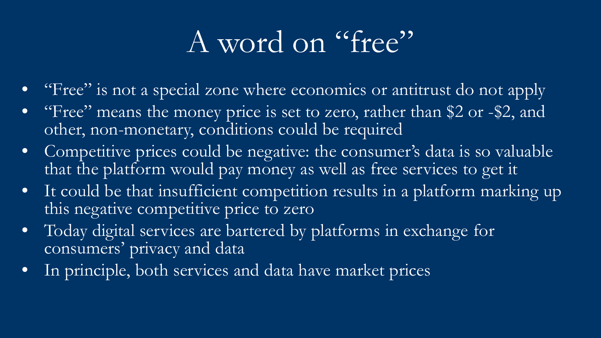### A word on "free"

- "Free" is not a special zone where economics or antitrust do not apply
- "Free" means the money price is set to zero, rather than \$2 or -\$2, and other, non-monetary, conditions could be required
- Competitive prices could be negative: the consumer's data is so valuable that the platform would pay money as well as free services to get it
- It could be that insufficient competition results in a platform marking up this negative competitive price to zero
- Today digital services are bartered by platforms in exchange for consumers' privacy and data
- In principle, both services and data have market prices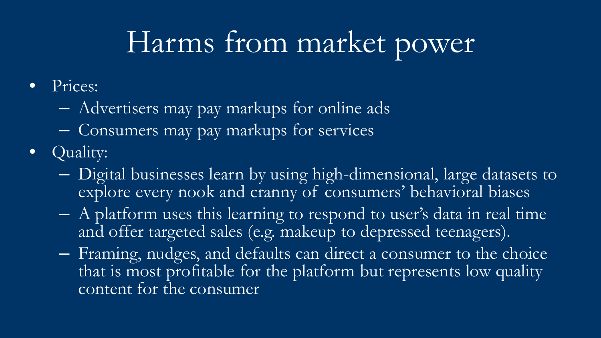### Harms from market power

- Prices:
	- Advertisers may pay markups for online ads
	- Consumers may pay markups for services
- Quality:
	- Digital businesses learn by using high-dimensional, large datasets to explore every nook and cranny of consumers' behavioral biases
	- A platform uses this learning to respond to user's data in real time and offer targeted sales (e.g. makeup to depressed teenagers).
	- Framing, nudges, and defaults can direct a consumer to the choice that is most profitable for the platform but represents low quality content for the consumer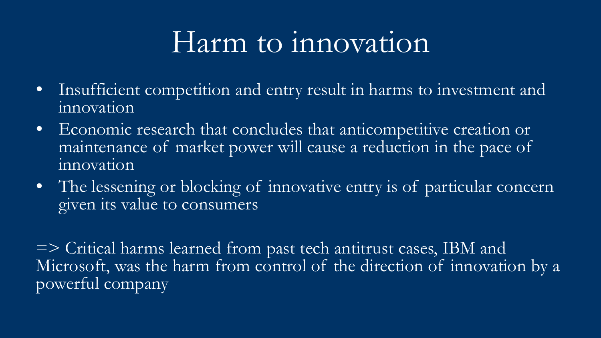#### Harm to innovation

- Insufficient competition and entry result in harms to investment and innovation
- Economic research that concludes that anticompetitive creation or maintenance of market power will cause a reduction in the pace of innovation
- The lessening or blocking of innovative entry is of particular concern given its value to consumers

=> Critical harms learned from past tech antitrust cases, IBM and Microsoft, was the harm from control of the direction of innovation by a powerful company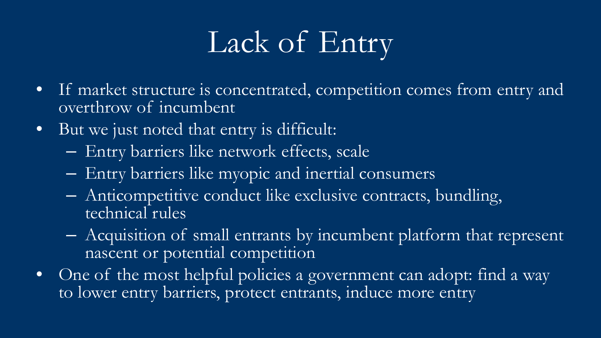# Lack of Entry

- If market structure is concentrated, competition comes from entry and overthrow of incumbent
- But we just noted that entry is difficult:
	- Entry barriers like network effects, scale
	- Entry barriers like myopic and inertial consumers
	- Anticompetitive conduct like exclusive contracts, bundling, technical rules
	- Acquisition of small entrants by incumbent platform that represent nascent or potential competition
- One of the most helpful policies a government can adopt: find a way to lower entry barriers, protect entrants, induce more entry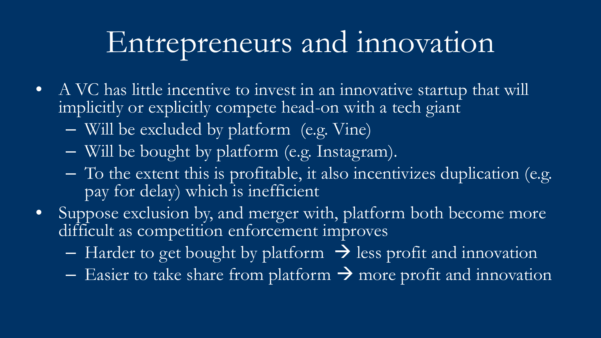#### Entrepreneurs and innovation

- A VC has little incentive to invest in an innovative startup that will implicitly or explicitly compete head-on with a tech giant
	- Will be excluded by platform (e.g. Vine)
	- Will be bought by platform (e.g. Instagram).
	- To the extent this is profitable, it also incentivizes duplication (e.g. pay for delay) which is inefficient
- Suppose exclusion by, and merger with, platform both become more difficult as competition enforcement improves
	- Harder to get bought by platform  $\rightarrow$  less profit and innovation
	- Easier to take share from platform  $\rightarrow$  more profit and innovation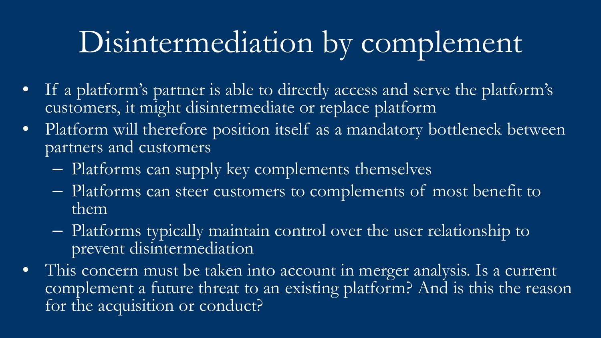## Disintermediation by complement

- If a platform's partner is able to directly access and serve the platform's customers, it might disintermediate or replace platform
- Platform will therefore position itself as a mandatory bottleneck between partners and customers
	- Platforms can supply key complements themselves
	- Platforms can steer customers to complements of most benefit to them
	- Platforms typically maintain control over the user relationship to prevent disintermediation
- This concern must be taken into account in merger analysis. Is a current complement a future threat to an existing platform? And is this the reason for the acquisition or conduct?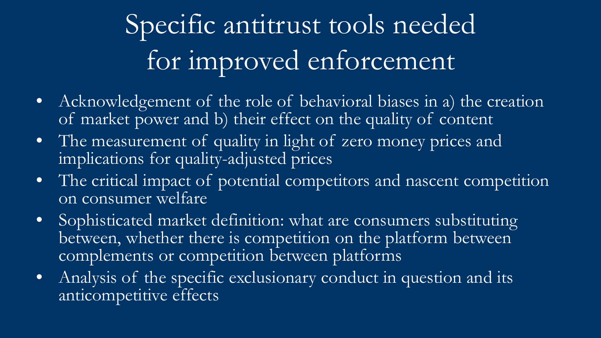# Specific antitrust tools needed for improved enforcement

- Acknowledgement of the role of behavioral biases in a) the creation of market power and b) their effect on the quality of content
- The measurement of quality in light of zero money prices and implications for quality-adjusted prices
- The critical impact of potential competitors and nascent competition on consumer welfare
- Sophisticated market definition: what are consumers substituting between, whether there is competition on the platform between complements or competition between platforms
- Analysis of the specific exclusionary conduct in question and its anticompetitive effects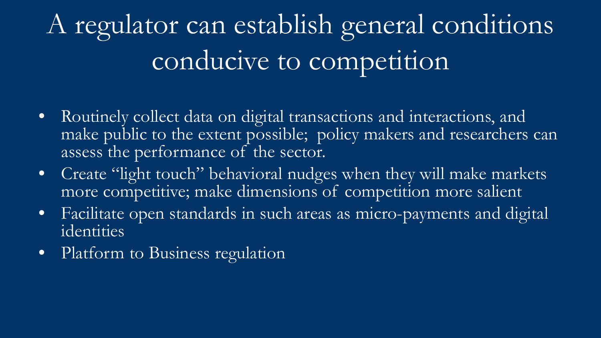# A regulator can establish general conditions conducive to competition

- Routinely collect data on digital transactions and interactions, and make public to the extent possible; policy makers and researchers can assess the performance of the sector.
- Create "light touch" behavioral nudges when they will make markets more competitive; make dimensions of competition more salient
- Facilitate open standards in such areas as micro-payments and digital identities
- Platform to Business regulation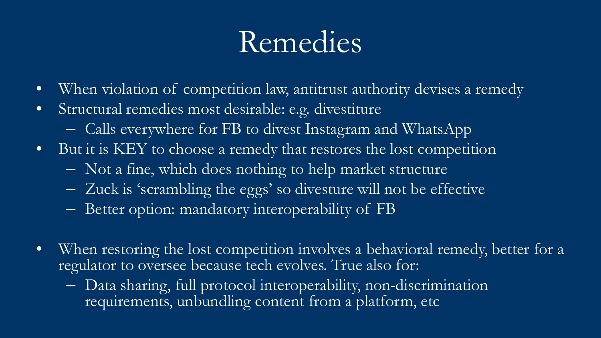### Remedies

- When violation of competition law, antitrust authority devises a remedy
- Structural remedies most desirable: e.g. divestiture
	- Calls everywhere for FB to divest Instagram and WhatsApp
- But it is KEY to choose a remedy that restores the lost competition
	- Not a fine, which does nothing to help market structure
	- Zuck is 'scrambling the eggs' so divesture will not be effective
	- Better option: mandatory interoperability of FB
- When restoring the lost competition involves a behavioral remedy, better for a regulator to oversee because tech evolves. True also for:
	- Data sharing, full protocol interoperability, non-discrimination requirements, unbundling content from a platform, etc